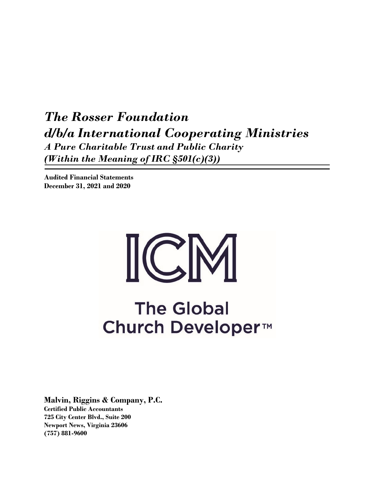*The Rosser Foundation d/b/a International Cooperating Ministries A Pure Charitable Trust and Public Charity (Within the Meaning of IRC §501(c)(3))* 

**Audited Financial Statements December 31, 2021 and 2020** 

# $\sum_{i=1}^{n}$

# **The Global** Church Developer<sup>™</sup>

**Malvin, Riggins & Company, P.C.** 

**Certified Public Accountants 725 City Center Blvd., Suite 200 Newport News, Virginia 23606 (757) 881-9600**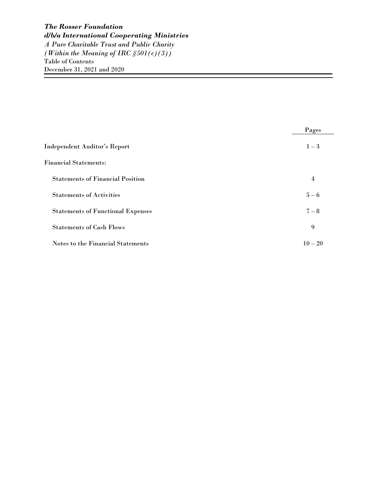|                                          | Pages     |
|------------------------------------------|-----------|
| Independent Auditor's Report             | $1 - 3$   |
| <b>Financial Statements:</b>             |           |
| <b>Statements of Financial Position</b>  | 4         |
| <b>Statements of Activities</b>          | $5 - 6$   |
| <b>Statements of Functional Expenses</b> | $7 - 8$   |
| <b>Statements of Cash Flows</b>          | 9         |
| Notes to the Financial Statements        | $10 - 20$ |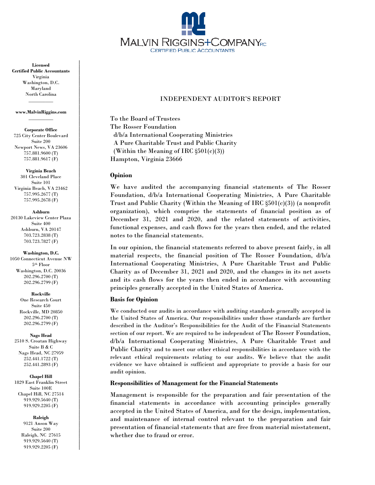

#### INDEPENDENT AUDITOR'S REPORT

To the Board of Trustees The Rosser Foundation d/b/a International Cooperating Ministries A Pure Charitable Trust and Public Charity (Within the Meaning of IRC §501(c)(3)) Hampton, Virginia 23666

#### **Opinion**

We have audited the accompanying financial statements of The Rosser Foundation, d/b/a International Cooperating Ministries, A Pure Charitable Trust and Public Charity (Within the Meaning of IRC  $\S501(c)(3)$ ) (a nonprofit organization), which comprise the statements of financial position as of December 31, 2021 and 2020, and the related statements of activities, functional expenses, and cash flows for the years then ended, and the related notes to the financial statements.

In our opinion, the financial statements referred to above present fairly, in all material respects, the financial position of The Rosser Foundation, d/b/a International Cooperating Ministries, A Pure Charitable Trust and Public Charity as of December 31, 2021 and 2020, and the changes in its net assets and its cash flows for the years then ended in accordance with accounting principles generally accepted in the United States of America.

#### **Basis for Opinion**

We conducted our audits in accordance with auditing standards generally accepted in the United States of America. Our responsibilities under those standards are further described in the Auditor's Responsibilities for the Audit of the Financial Statements section of our report. We are required to be independent of The Rosser Foundation, d/b/a International Cooperating Ministries, A Pure Charitable Trust and Public Charity and to meet our other ethical responsibilities in accordance with the relevant ethical requirements relating to our audits. We believe that the audit evidence we have obtained is sufficient and appropriate to provide a basis for our audit opinion.

#### **Responsibilities of Management for the Financial Statements**

Management is responsible for the preparation and fair presentation of the financial statements in accordance with accounting principles generally accepted in the United States of America, and for the design, implementation, and maintenance of internal control relevant to the preparation and fair presentation of financial statements that are free from material misstatement, whether due to fraud or error.

**Licensed Certified Public Accountants** Virginia Washington, D.C. Maryland North Carolina  $\overline{\phantom{a}}$  ,  $\overline{\phantom{a}}$  ,  $\overline{\phantom{a}}$  ,  $\overline{\phantom{a}}$  ,  $\overline{\phantom{a}}$  ,  $\overline{\phantom{a}}$  ,  $\overline{\phantom{a}}$  ,  $\overline{\phantom{a}}$  ,  $\overline{\phantom{a}}$  ,  $\overline{\phantom{a}}$  ,  $\overline{\phantom{a}}$  ,  $\overline{\phantom{a}}$  ,  $\overline{\phantom{a}}$  ,  $\overline{\phantom{a}}$  ,  $\overline{\phantom{a}}$  ,  $\overline{\phantom{a}}$ 

#### **www.MalvinRiggins.com**  $\overline{\phantom{a}}$

**Corporate Office** 725 City Center Boulevard Suite 200 Newport News, VA 23606 757.881.9600 (T) 757.881.9617 (F)

**Virginia Beach** 301 Cleveland Place Suite 101 Virginia Beach, VA 23462 757.995.2677 (T) 757.995.2678 (F)

**Ashburn** 20130 Lakeview Center Plaza Suite 400 Ashburn, VA 20147 703.723.2838 (T) 703.723.7827 (F)

**Washington, D.C.**  1050 Connecticut Avenue NW 5th Floor Washington, D.C. 20036 202.296.2700 (T) 202.296.2799 (F)

> **Rockville** One Research Court Suite 450 Rockville, MD 20850 202.296.2700 (T) 202.296.2799 (F)

**Nags Head** 2510 S. Croatan Highway Suite B & C Nags Head, NC 27959

252.441.1722 (T) 252.441.2893 (F)

**Chapel Hill**

1829 East Franklin Street Suite 100E Chapel Hill, NC 27514 919.929.5640 (T) 919.929.2205 (F)

**Raleigh**

9121 Anson Way Suite 200 Raleigh, NC 27615 919.929.5640 (T) 919.929.2205 (F)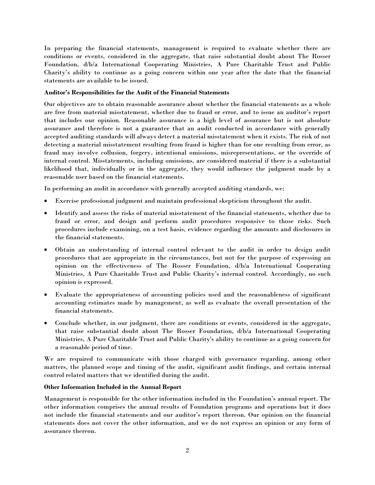In preparing the financial statements, management is required to evaluate whether there are conditions or events, considered in the aggregate, that raise substantial doubt about The Rosser Foundation, d/b/a International Cooperating Ministries, A Pure Charitable Trust and Public Charity's ability to continue as a going concern within one year after the date that the financial statements are available to be issued.

#### **Auditor's Responsibilities for the Audit of the Financial Statements**

Our objectives are to obtain reasonable assurance about whether the financial statements as a whole are free from material misstatement, whether due to fraud or error, and to issue an auditor's report that includes our opinion. Reasonable assurance is a high level of assurance but is not absolute assurance and therefore is not a guarantee that an audit conducted in accordance with generally accepted auditing standards will always detect a material misstatement when it exists. The risk of not detecting a material misstatement resulting from fraud is higher than for one resulting from error, as fraud may involve collusion, forgery, intentional omissions, misrepresentations, or the override of internal control. Misstatements, including omissions, are considered material if there is a substantial likelihood that, individually or in the aggregate, they would influence the judgment made by a reasonable user based on the financial statements.

In performing an audit in accordance with generally accepted auditing standards, we:

- Exercise professional judgment and maintain professional skepticism throughout the audit.
- Identify and assess the risks of material misstatement of the financial statements, whether due to fraud or error, and design and perform audit procedures responsive to those risks. Such procedures include examining, on a test basis, evidence regarding the amounts and disclosures in the financial statements.
- Obtain an understanding of internal control relevant to the audit in order to design audit procedures that are appropriate in the circumstances, but not for the purpose of expressing an opinion on the effectiveness of The Rosser Foundation, d/b/a International Cooperating Ministries, A Pure Charitable Trust and Public Charity's internal control. Accordingly, no such opinion is expressed.
- Evaluate the appropriateness of accounting policies used and the reasonableness of significant accounting estimates made by management, as well as evaluate the overall presentation of the financial statements.
- Conclude whether, in our judgment, there are conditions or events, considered in the aggregate, that raise substantial doubt about The Rosser Foundation, d/b/a International Cooperating Ministries, A Pure Charitable Trust and Public Charity's ability to continue as a going concern for a reasonable period of time.

We are required to communicate with those charged with governance regarding, among other matters, the planned scope and timing of the audit, significant audit findings, and certain internal control related matters that we identified during the audit.

#### **Other Information Included in the Annual Report**

Management is responsible for the other information included in the Foundation's annual report. The other information comprises the annual results of Foundation programs and operations but it does not include the financial statements and our auditor's report thereon. Our opinion on the financial statements does not cover the other information, and we do not express an opinion or any form of assurance thereon.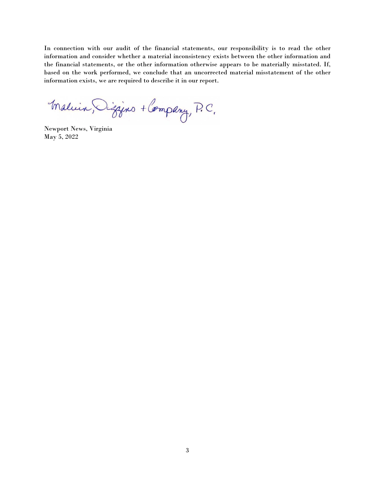In connection with our audit of the financial statements, our responsibility is to read the other information and consider whether a material inconsistency exists between the other information and the financial statements, or the other information otherwise appears to be materially misstated. If, based on the work performed, we conclude that an uncorrected material misstatement of the other information exists, we are required to describe it in our report.

Maluin, Dizzins + Company, P.C.

Newport News, Virginia May 5, 2022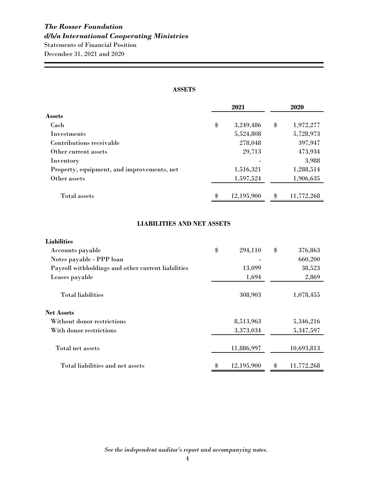#### **ASSETS**

|                                            | 2021             | 2020             |
|--------------------------------------------|------------------|------------------|
| Assets                                     |                  |                  |
| Cash                                       | \$<br>3,249,486  | \$<br>1,972,277  |
| <b>Investments</b>                         | 5,524,808        | 5,728,973        |
| Contributions receivable                   | 278,048          | 397,947          |
| Other current assets                       | 29,713           | 473,934          |
| Inventory                                  |                  | 3,988            |
| Property, equipment, and improvements, net | 1,516,321        | 1,288,514        |
| Other assets                               | 1,597,524        | 1,906,635        |
| Total assets                               | \$<br>12,195,900 | \$<br>11,772,268 |

### **LIABILITIES AND NET ASSETS**

| <b>Liabilities</b>                                 |                  |                  |
|----------------------------------------------------|------------------|------------------|
| Accounts payable                                   | \$<br>294,110    | \$<br>376,863    |
| Notes payable - PPP loan                           |                  | 660,200          |
| Payroll withholdings and other current liabilities | 13,099           | 38,523           |
| Leases payable                                     | 1,694            | 2,869            |
| <b>Total liabilities</b>                           | 308,903          | 1,078,455        |
| Net Assets                                         |                  |                  |
| Without donor restrictions                         | 8,513,963        | 5,346,216        |
| With donor restrictions                            | 3,373,034        | 5,347,597        |
| Total net assets                                   | 11,886,997       | 10,693,813       |
| Total liabilities and net assets                   | \$<br>12,195,900 | \$<br>11,772,268 |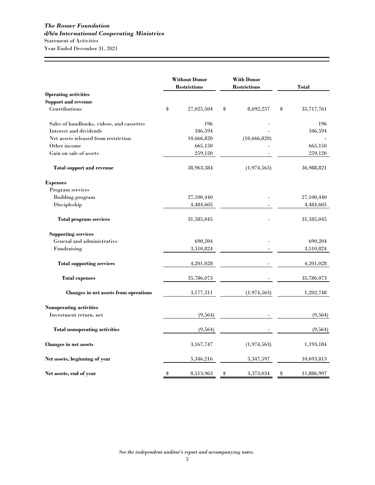|                                           | <b>Without Donor</b><br><b>Restrictions</b> |    | <b>With Donor</b><br><b>Restrictions</b> |        | <b>Total</b> |
|-------------------------------------------|---------------------------------------------|----|------------------------------------------|--------|--------------|
| <b>Operating activities</b>               |                                             |    |                                          |        |              |
| <b>Support and revenue</b>                |                                             |    |                                          |        |              |
| Contributions                             | \$<br>27,025,504                            | \$ | 8,692,257                                | $\$\,$ | 35,717,761   |
| Sales of handbooks, videos, and cassettes | 196                                         |    |                                          |        | 196          |
| Interest and dividends                    | 346,594                                     |    |                                          |        | 346,594      |
| Net assets released from restriction      | 10,666,820                                  |    | (10, 666, 820)                           |        |              |
| Other income                              | 665,150                                     |    |                                          |        | 665,150      |
| Gain on sale of assets                    | 259,120                                     |    |                                          |        | 259,120      |
| <b>Total support and revenue</b>          | 38,963,384                                  |    | (1, 974, 563)                            |        | 36,988,821   |
| <b>Expenses</b>                           |                                             |    |                                          |        |              |
| Program services                          |                                             |    |                                          |        |              |
| <b>Building</b> program                   | 27,100,440                                  |    |                                          |        | 27,100,440   |
| Discipleship                              | 4,484,605                                   |    |                                          |        | 4,484,605    |
| <b>Total program services</b>             | 31,585,045                                  |    |                                          |        | 31,585,045   |
| <b>Supporting services</b>                |                                             |    |                                          |        |              |
| General and administrative                | 690,204                                     |    |                                          |        | 690,204      |
| Fundraising                               | 3,510,824                                   |    |                                          |        | 3,510,824    |
| <b>Total supporting services</b>          | 4,201,028                                   |    |                                          |        | 4,201,028    |
| <b>Total expenses</b>                     | 35,786,073                                  |    |                                          |        | 35,786,073   |
| Changes in net assets from operations     | 3,177,311                                   |    | (1, 974, 563)                            |        | 1,202,748    |
| Nonoperating activities                   |                                             |    |                                          |        |              |
| Investment return, net                    | (9, 564)                                    |    |                                          |        | (9, 564)     |
| <b>Total nonoperating activities</b>      | (9, 564)                                    |    |                                          |        | (9, 564)     |
| Changes in net assets                     | 3,167,747                                   |    | (1,974,563)                              |        | 1,193,184    |
| Net assets, beginning of year             | 5,346,216                                   |    | 5, 347, 597                              |        | 10,693,813   |
| Net assets, end of year                   | \$<br>8,513,963                             | \$ | 3,373,034                                | \$     | 11,886,997   |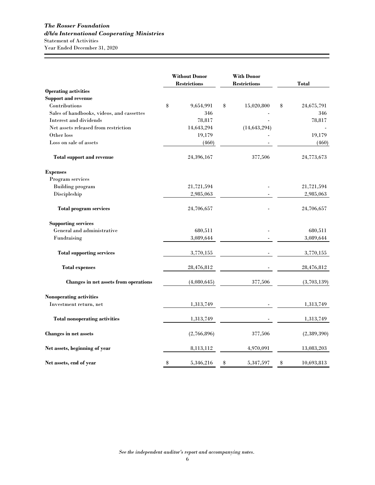|                                           | <b>Without Donor</b><br><b>Restrictions</b> |    | <b>With Donor</b><br><b>Restrictions</b> |    | Total       |
|-------------------------------------------|---------------------------------------------|----|------------------------------------------|----|-------------|
| <b>Operating activities</b>               |                                             |    |                                          |    |             |
| <b>Support and revenue</b>                |                                             |    |                                          |    |             |
| Contributions                             | \$<br>9,654,991                             | \$ | 15,020,800                               | \$ | 24,675,791  |
| Sales of handbooks, videos, and cassettes | 346                                         |    |                                          |    | 346         |
| Interest and dividends                    | 78,817                                      |    |                                          |    | 78,817      |
| Net assets released from restriction      | 14,643,294                                  |    | (14, 643, 294)                           |    |             |
| Other loss                                | 19,179                                      |    |                                          |    | 19,179      |
| Loss on sale of assets                    | (460)                                       |    |                                          |    | (460)       |
| <b>Total support and revenue</b>          | 24,396,167                                  |    | 377,506                                  |    | 24,773,673  |
| <b>Expenses</b>                           |                                             |    |                                          |    |             |
| Program services                          |                                             |    |                                          |    |             |
| <b>Building program</b>                   | 21,721,594                                  |    |                                          |    | 21,721,594  |
| Discipleship                              | 2,985,063                                   |    |                                          |    | 2,985,063   |
| <b>Total program services</b>             | 24,706,657                                  |    |                                          |    | 24,706,657  |
| <b>Supporting services</b>                |                                             |    |                                          |    |             |
| General and administrative                | 680,511                                     |    |                                          |    | 680,511     |
| Fundraising                               | 3,089,644                                   |    |                                          |    | 3,089,644   |
| <b>Total supporting services</b>          | 3,770,155                                   |    |                                          |    | 3,770,155   |
| <b>Total expenses</b>                     | 28,476,812                                  |    |                                          |    | 28,476,812  |
| Changes in net assets from operations     | (4,080,645)                                 |    | 377,506                                  |    | (3,703,139) |
| <b>Nonoperating activities</b>            |                                             |    |                                          |    |             |
| Investment return, net                    | 1,313,749                                   |    |                                          |    | 1,313,749   |
| <b>Total nonoperating activities</b>      | 1,313,749                                   |    |                                          |    | 1,313,749   |
| Changes in net assets                     | (2,766,896)                                 |    | 377,506                                  |    | (2,389,390) |
| Net assets, beginning of year             | 8,113,112                                   |    | 4,970,091                                |    | 13,083,203  |
| Net assets, end of year                   | \$<br>5,346,216                             | \$ | 5,347,597                                | \$ | 10,693,813  |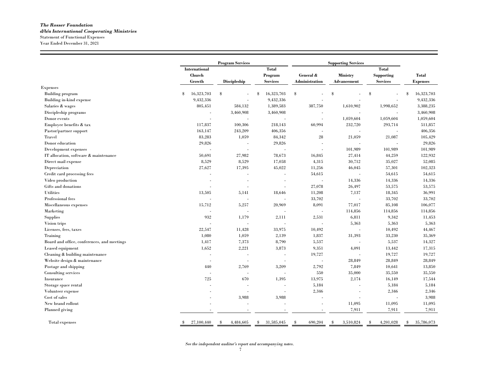#### *The Rosser Foundation d/b/a International Cooperating Ministries* Statement of Functional Expenses Year Ended December 31, 2021

|                                             | <b>Program Services</b>    |                      |                         |                       |                            |                                   |                                  |
|---------------------------------------------|----------------------------|----------------------|-------------------------|-----------------------|----------------------------|-----------------------------------|----------------------------------|
|                                             |                            | <b>International</b> |                         |                       | <b>Supporting Services</b> |                                   |                                  |
|                                             | <b>Church</b>              |                      | <b>Total</b><br>Program | General &             | <b>Ministry</b>            | <b>Total</b><br><b>Supporting</b> | <b>Total</b>                     |
|                                             | Growth                     | <b>Discipleship</b>  | <b>Services</b>         | <b>Administration</b> | <b>Advancement</b>         | <b>Services</b>                   | <b>Expenses</b>                  |
| <b>Expenses</b>                             |                            |                      |                         |                       |                            |                                   |                                  |
| <b>Building</b> program                     | 16,323,703<br>$\mathbb{S}$ | \$                   | 16,323,703<br>\$        | \$                    | \$                         | \$                                | 16,323,703<br>$\mathbf{\hat{x}}$ |
| Building in-kind expense                    | 9,432,336                  |                      | 9,432,336               |                       |                            |                                   | 9,432,336                        |
| Salaries & wages                            | 805,451                    | 584,132              | 1,389,583               | 387,750               | 1,610,902                  | 1,998,652                         | 3,388,235                        |
| Discipleship programs                       |                            | 3,460,908            | 3,460,908               |                       |                            |                                   | 3,460,908                        |
| Donor events                                |                            |                      |                         |                       | 1,059,604                  | 1,059,604                         | 1,059,604                        |
| Employee benefits & tax                     | 117,837                    | 100,306              | 218,143                 | 60,994                | 232,720                    | 293,714                           | 511,857                          |
| Pastor/partner support                      | 163,147                    | 243,209              | 406,356                 |                       |                            | ÷.                                | 406,356                          |
| Travel                                      | 83,283                     | 1,059                | 84,342                  | $\sqrt{28}$           | 21,059                     | 21,087                            | 105,429                          |
| Donor education                             | 29,826                     |                      | 29,826                  | $\sim$                |                            |                                   | 29,826                           |
| Development expenses                        |                            |                      |                         |                       | 101,989                    | 101,989                           | 101,989                          |
| IT allocation, software & maintenance       | 50,691                     | 27,982               | 78,673                  | 16,845                | 27,414                     | 44,259                            | 122,932                          |
| Direct mail expense                         | 8,529                      | 8.529                | 17,058                  | 4.315                 | 30,712                     | 35,027                            | 52,085                           |
| Depreciation                                | 27,627                     | 17,395               | 45,022                  | 11,256                | 46,045                     | 57,301                            | 102,323                          |
| Credit card processing fees                 |                            |                      |                         | 54,615                |                            | 54,615                            | 54,615                           |
| Video production                            |                            |                      |                         |                       | 14.336                     | 14,336                            | 14,336                           |
| Gifts and donations                         |                            |                      |                         | 27,078                | 26,497                     | 53,575                            | 53,575                           |
| <b>Utilities</b>                            | 13,505                     | 5,141                | 18,646                  | 11,208                | 7,137                      | 18,345                            | 36,991                           |
| Professional fees                           |                            |                      |                         | 33,702                |                            | 33,702                            | 33,702                           |
| Miscellaneous expenses                      | 15,712                     | 5,257                | 20,969                  | 8,091                 | 77,017                     | 85,108                            | 106,077                          |
| Marketing                                   |                            |                      |                         |                       | 114,856                    | 114,856                           | 114,856                          |
| <b>Supplies</b>                             | 932                        | 1,179                | 2,111                   | 2,531                 | 6,811                      | 9.342                             | 11,453                           |
| Vision trips                                |                            |                      |                         |                       | 5,363                      | 5,363                             | 5.363                            |
| Licenses, fees, taxes                       | 22,547                     | 11,428               | 33,975                  | 10,492                |                            | 10,492                            | 44,467                           |
| Training                                    | 1,080                      | 1,059                | 2,139                   | 1,837                 | 31,393                     | 33,230                            | 35,369                           |
| Board and office, conferences, and meetings | 1,417                      | 7,373                | 8,790                   | 5,537                 |                            | 5,537                             | 14,327                           |
| Leased equipment                            | 1,652                      | 2,221                | 3,873                   | 9,351                 | 4,091                      | 13,442                            | 17,315                           |
| Cleaning $\&$ building maintenance          |                            |                      |                         | 19,727                |                            | 19,727                            | 19,727                           |
| Website design & maintenance                | $\overline{a}$             |                      | $\overline{a}$          |                       | 28,849                     | 28,849                            | 28,849                           |
| Postage and shipping                        | 440                        | 2,769                | 3,209                   | 2,792                 | 7,849                      | 10,641                            | 13,850                           |
| Consulting services                         |                            |                      |                         | 550                   | 35,000                     | 35,550                            | 35,550                           |
| Insurance                                   | 725                        | 670                  | 1,395                   | 13,975                | 2,174                      | 16,149                            | 17,544                           |
| Storage space rental                        |                            |                      |                         | 5,184                 |                            | 5,184                             | 5,184                            |
| Volunteer expense                           |                            |                      |                         | 2,346                 |                            | 2,346                             | 2,346                            |
| Cost of sales                               |                            | 3,988                | 3,988                   |                       |                            |                                   | 3,988                            |
| New brand rollout                           |                            |                      |                         |                       | 11,095                     | 11,095                            | 11,095                           |
| Planned giving                              |                            |                      |                         |                       | 7.911                      | 7,911                             | 7,911                            |
|                                             |                            |                      |                         |                       |                            |                                   |                                  |
| Total expenses                              | 27,100,440<br>\$           | 4,484,605<br>\$      | 31,585,045<br>\$        | 690,204<br>-\$        | 3,510,824<br>\$            | 4,201,028<br>\$                   | 35,786,073<br>\$                 |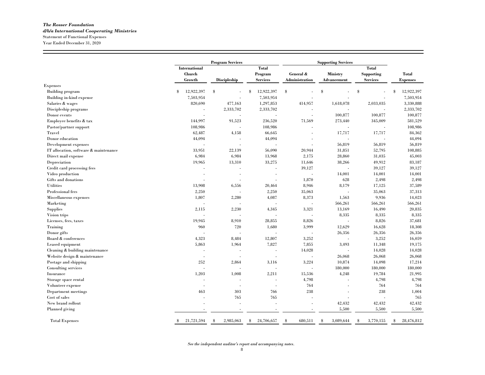#### *The Rosser Foundation d/b/a International Cooperating Ministries* Statement of Functional Expenses Year Ended December 31, 2020

|                                       |                      | <b>Program Services</b>  |                  | <b>Supporting Services</b> |                 |                   |                  |  |
|---------------------------------------|----------------------|--------------------------|------------------|----------------------------|-----------------|-------------------|------------------|--|
|                                       | <b>International</b> |                          | <b>Total</b>     |                            |                 | <b>Total</b>      |                  |  |
|                                       | <b>Church</b>        |                          | Program          | General &                  | <b>Ministry</b> | <b>Supporting</b> | <b>Total</b>     |  |
|                                       | Growth               | <b>Discipleship</b>      | <b>Services</b>  | Administration             | Advancement     | <b>Services</b>   | <b>Expenses</b>  |  |
| <b>Expenses</b>                       |                      |                          |                  |                            |                 |                   |                  |  |
| <b>Building program</b>               | 12,922,397<br>\$     | S                        | 12,922,397<br>\$ | \$                         | $\mathbb S$     | \$                | 12,922,397<br>\$ |  |
| Building in-kind expense              | 7,503,954            |                          | 7,503,954        |                            |                 |                   | 7,503,954        |  |
| Salaries & wages                      | 820,690              | 477,163                  | 1,297,853        | 414,957                    | 1,618,078       | 2,033,035         | 3,330,888        |  |
| Discipleship programs                 |                      | 2,333,702                | 2,333,702        |                            |                 |                   | 2,333,702        |  |
| Donor events                          | ÷.                   |                          | ÷.               |                            | 100.877         | 100,877           | 100,877          |  |
| Employee benefits & tax               | 144,997              | 91,523                   | 236,520          | 71,569                     | 273,440         | 345,009           | 581,529          |  |
| Pastor/partner support                | 108,986              | $\sim$                   | 108,986          |                            |                 | ÷.                | 108,986          |  |
| Travel                                | 62,487               | 4,158                    | 66,645           |                            | 17,717          | 17,717            | 84,362           |  |
| Donor education                       | 44,094               | ×.                       | 44,094           | ٠                          |                 | ä,                | 44,094           |  |
| Development expenses                  |                      |                          |                  | $\sim$                     | 56,819          | 56,819            | 56,819           |  |
| IT allocation, software & maintenance | 33,951               | 22,139                   | 56,090           | 20.944                     | 31,851          | 52,795            | 108,885          |  |
| Direct mail expense                   | 6,984                | 6,984                    | 13,968           | 2,175                      | 28,860          | 31,035            | 45,003           |  |
| Depreciation                          | 19,965               | 13,310                   | 33,275           | 11,646                     | 38,266          | 49.912            | 83,187           |  |
| Credit card processing fees           |                      |                          |                  | 39,127                     |                 | 39,127            | 39,127           |  |
| Video production                      |                      |                          |                  |                            | 14,001          | 14,001            | 14,001           |  |
| Gifts and donations                   | ÷.                   |                          |                  | 1,870                      | 628             | 2,498             | 2,498            |  |
| <b>Utilities</b>                      | 13,908               | 6,556                    | 20,464           | 8.946                      | 8,179           | 17,125            | 37,589           |  |
| Professional fees                     | 2,250                |                          | 2,250            | 35,063                     |                 | 35,063            | 37,313           |  |
| Miscellaneous expenses                | 1.807                | 2,280                    | 4,087            | 8.373                      | 1.563           | 9,936             | 14,023           |  |
| Marketing                             |                      |                          |                  | ÷,                         | 566,261         | 566,261           | 566,261          |  |
| <b>Supplies</b>                       | 2,115                | 2,230                    | 4.345            | 3,321                      | 13,169          | 16,490            | 20.835           |  |
| Vision trips                          | J.                   |                          |                  | ÷.                         | 8,335           | 8,335             | 8,335            |  |
| Licenses, fees, taxes                 | 19.945               | 8,910                    | 28.855           | 8.826                      |                 | 8,826             | 37,681           |  |
| Training                              | 960                  | 720                      | 1,680            | 3,999                      | 12,629          | 16,628            | 18,308           |  |
| Donor gifts                           |                      |                          |                  |                            | 26,356          | 26,356            | 26,356           |  |
| Board & conferences                   | 4,323                | 8,484                    | 12,807           | 3,252                      |                 | 3,252             | 16,059           |  |
| Leased equipment                      | 5,863                | 1.964                    | 7,827            | 7,855                      | 3,493           | 11,348            | 19,175           |  |
| Cleaning & building maintenance       | ä,                   | $\overline{\phantom{a}}$ |                  | 14,028                     |                 | 14,028            | 14,028           |  |
| Website design & maintenance          |                      |                          |                  |                            | 26,068          | 26,068            | 26,068           |  |
| Postage and shipping                  | 252                  | 2,864                    | 3,116            | 3,224                      | 10,874          | 14,098            | 17,214           |  |
| Consulting services                   |                      |                          |                  |                            | 180,000         | 180,000           | 180,000          |  |
| Insurance                             | 1,203                | 1,008                    | 2,211            | 15,536                     | 4,248           | 19,784            | 21,995           |  |
| Storage space rental                  |                      |                          | $\overline{a}$   | 4,798                      |                 | 4,798             | 4,798            |  |
| Volunteer expense                     |                      |                          |                  | 764                        |                 | 764               | 764              |  |
| Department meetings                   | 463                  | 303                      | 766              | 238                        |                 | 238               | 1,004            |  |
| Cost of sales                         | ä,                   | 765                      | 765              | J.                         |                 |                   | 765              |  |
| New brand rollout                     |                      | - 2                      |                  | $\sim$                     | 42,432          | 42,432            | 42,432           |  |
| Planned giving                        |                      |                          |                  |                            | 5.500           | 5,500             | 5.500            |  |
|                                       |                      |                          |                  |                            |                 |                   |                  |  |
| <b>Total Expenses</b>                 | 21,721,594<br>S      | 2,985,063<br>S           | 24,706,657<br>\$ | \$<br>680,511              | 3,089,644<br>S  | 3,770,155<br>\$   | 28,476,812<br>\$ |  |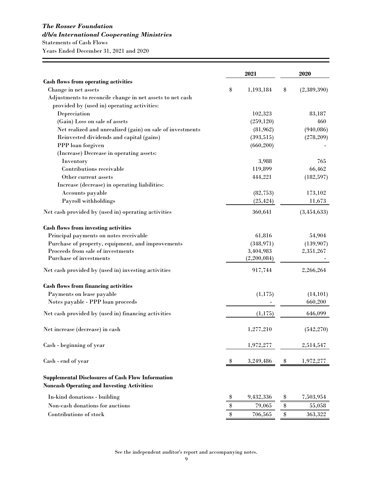# *The Rosser Foundation*

# *d/b/a International Cooperating Ministries*

Statements of Cash Flows

Years Ended December 31, 2021 and 2020

| <b>Cash flows from operating activities</b><br>Change in net assets<br>(2,389,390)<br>\$<br>1,193,184<br>\$<br>Adjustments to reconcile change in net assets to net cash<br>provided by (used in) operating activities:<br>Depreciation<br>102,323<br>83,187<br>(Gain) Loss on sale of assets<br>(259, 120)<br>460<br>Net realized and unrealized (gain) on sale of investments<br>(940, 086)<br>(81, 962)<br>Reinvested dividends and capital (gains)<br>(393, 515)<br>(278, 209)<br>PPP loan forgiven<br>(660, 200)<br>(Increase) Decrease in operating assets:<br>Inventory<br>3,988<br>765<br>Contributions receivable<br>119,899<br>66,462<br>(182, 597)<br>Other current assets<br>444,221<br>Increase (decrease) in operating liabilities:<br>Accounts payable<br>(82, 753)<br>173,102<br>Payroll withholdings<br>(25, 424)<br>11,673<br>360,641<br>(3,454,633)<br>Net cash provided by (used in) operating activities<br>Cash flows from investing activities<br>Principal payments on notes receivable<br>61,816<br>54,904<br>Purchase of property, equipment, and improvements<br>(348, 971)<br>(139, 907)<br>Proceeds from sale of investments<br>3,404,983<br>2,351,267<br>Purchase of investments<br>(2,200,084)<br>2,266,264<br>917,744<br>Net cash provided by (used in) investing activities<br><b>Cash flows from financing activities</b><br>Payments on lease payable<br>(1, 175)<br>(14, 101)<br>Notes payable - PPP loan proceeds<br>660,200<br>646,099<br>Net cash provided by (used in) financing activities<br>(1,175)<br>(542, 270)<br>Net increase (decrease) in cash<br>1,277,210<br>Cash - beginning of year<br>1,972,277<br>2,514,547<br>Cash - end of year<br>1,972,277<br>3,249,486<br>\$<br>₩<br><b>Supplemental Disclosures of Cash Flow Information</b><br><b>Noncash Operating and Investing Activities:</b><br>9,432,336<br>In-kind donations - building<br>7,503,954<br>\$<br>\$<br>Non-cash donations for auctions<br>\$<br>79,065<br>$\, \, \raisebox{-1.5pt}{\text{\circle*{1.5}}}\,$<br>55,058<br>Contributions of stock<br>706,565<br>$\clubsuit$<br>363,322<br>\$ |  | 2021 | 2020 |
|--------------------------------------------------------------------------------------------------------------------------------------------------------------------------------------------------------------------------------------------------------------------------------------------------------------------------------------------------------------------------------------------------------------------------------------------------------------------------------------------------------------------------------------------------------------------------------------------------------------------------------------------------------------------------------------------------------------------------------------------------------------------------------------------------------------------------------------------------------------------------------------------------------------------------------------------------------------------------------------------------------------------------------------------------------------------------------------------------------------------------------------------------------------------------------------------------------------------------------------------------------------------------------------------------------------------------------------------------------------------------------------------------------------------------------------------------------------------------------------------------------------------------------------------------------------------------------------------------------------------------------------------------------------------------------------------------------------------------------------------------------------------------------------------------------------------------------------------------------------------------------------------------------------------------------------------------------------------------------------------------------------------------------------------------------------------------------------------------------------|--|------|------|
|                                                                                                                                                                                                                                                                                                                                                                                                                                                                                                                                                                                                                                                                                                                                                                                                                                                                                                                                                                                                                                                                                                                                                                                                                                                                                                                                                                                                                                                                                                                                                                                                                                                                                                                                                                                                                                                                                                                                                                                                                                                                                                              |  |      |      |
|                                                                                                                                                                                                                                                                                                                                                                                                                                                                                                                                                                                                                                                                                                                                                                                                                                                                                                                                                                                                                                                                                                                                                                                                                                                                                                                                                                                                                                                                                                                                                                                                                                                                                                                                                                                                                                                                                                                                                                                                                                                                                                              |  |      |      |
|                                                                                                                                                                                                                                                                                                                                                                                                                                                                                                                                                                                                                                                                                                                                                                                                                                                                                                                                                                                                                                                                                                                                                                                                                                                                                                                                                                                                                                                                                                                                                                                                                                                                                                                                                                                                                                                                                                                                                                                                                                                                                                              |  |      |      |
|                                                                                                                                                                                                                                                                                                                                                                                                                                                                                                                                                                                                                                                                                                                                                                                                                                                                                                                                                                                                                                                                                                                                                                                                                                                                                                                                                                                                                                                                                                                                                                                                                                                                                                                                                                                                                                                                                                                                                                                                                                                                                                              |  |      |      |
|                                                                                                                                                                                                                                                                                                                                                                                                                                                                                                                                                                                                                                                                                                                                                                                                                                                                                                                                                                                                                                                                                                                                                                                                                                                                                                                                                                                                                                                                                                                                                                                                                                                                                                                                                                                                                                                                                                                                                                                                                                                                                                              |  |      |      |
|                                                                                                                                                                                                                                                                                                                                                                                                                                                                                                                                                                                                                                                                                                                                                                                                                                                                                                                                                                                                                                                                                                                                                                                                                                                                                                                                                                                                                                                                                                                                                                                                                                                                                                                                                                                                                                                                                                                                                                                                                                                                                                              |  |      |      |
|                                                                                                                                                                                                                                                                                                                                                                                                                                                                                                                                                                                                                                                                                                                                                                                                                                                                                                                                                                                                                                                                                                                                                                                                                                                                                                                                                                                                                                                                                                                                                                                                                                                                                                                                                                                                                                                                                                                                                                                                                                                                                                              |  |      |      |
|                                                                                                                                                                                                                                                                                                                                                                                                                                                                                                                                                                                                                                                                                                                                                                                                                                                                                                                                                                                                                                                                                                                                                                                                                                                                                                                                                                                                                                                                                                                                                                                                                                                                                                                                                                                                                                                                                                                                                                                                                                                                                                              |  |      |      |
|                                                                                                                                                                                                                                                                                                                                                                                                                                                                                                                                                                                                                                                                                                                                                                                                                                                                                                                                                                                                                                                                                                                                                                                                                                                                                                                                                                                                                                                                                                                                                                                                                                                                                                                                                                                                                                                                                                                                                                                                                                                                                                              |  |      |      |
|                                                                                                                                                                                                                                                                                                                                                                                                                                                                                                                                                                                                                                                                                                                                                                                                                                                                                                                                                                                                                                                                                                                                                                                                                                                                                                                                                                                                                                                                                                                                                                                                                                                                                                                                                                                                                                                                                                                                                                                                                                                                                                              |  |      |      |
|                                                                                                                                                                                                                                                                                                                                                                                                                                                                                                                                                                                                                                                                                                                                                                                                                                                                                                                                                                                                                                                                                                                                                                                                                                                                                                                                                                                                                                                                                                                                                                                                                                                                                                                                                                                                                                                                                                                                                                                                                                                                                                              |  |      |      |
|                                                                                                                                                                                                                                                                                                                                                                                                                                                                                                                                                                                                                                                                                                                                                                                                                                                                                                                                                                                                                                                                                                                                                                                                                                                                                                                                                                                                                                                                                                                                                                                                                                                                                                                                                                                                                                                                                                                                                                                                                                                                                                              |  |      |      |
|                                                                                                                                                                                                                                                                                                                                                                                                                                                                                                                                                                                                                                                                                                                                                                                                                                                                                                                                                                                                                                                                                                                                                                                                                                                                                                                                                                                                                                                                                                                                                                                                                                                                                                                                                                                                                                                                                                                                                                                                                                                                                                              |  |      |      |
|                                                                                                                                                                                                                                                                                                                                                                                                                                                                                                                                                                                                                                                                                                                                                                                                                                                                                                                                                                                                                                                                                                                                                                                                                                                                                                                                                                                                                                                                                                                                                                                                                                                                                                                                                                                                                                                                                                                                                                                                                                                                                                              |  |      |      |
|                                                                                                                                                                                                                                                                                                                                                                                                                                                                                                                                                                                                                                                                                                                                                                                                                                                                                                                                                                                                                                                                                                                                                                                                                                                                                                                                                                                                                                                                                                                                                                                                                                                                                                                                                                                                                                                                                                                                                                                                                                                                                                              |  |      |      |
|                                                                                                                                                                                                                                                                                                                                                                                                                                                                                                                                                                                                                                                                                                                                                                                                                                                                                                                                                                                                                                                                                                                                                                                                                                                                                                                                                                                                                                                                                                                                                                                                                                                                                                                                                                                                                                                                                                                                                                                                                                                                                                              |  |      |      |
|                                                                                                                                                                                                                                                                                                                                                                                                                                                                                                                                                                                                                                                                                                                                                                                                                                                                                                                                                                                                                                                                                                                                                                                                                                                                                                                                                                                                                                                                                                                                                                                                                                                                                                                                                                                                                                                                                                                                                                                                                                                                                                              |  |      |      |
|                                                                                                                                                                                                                                                                                                                                                                                                                                                                                                                                                                                                                                                                                                                                                                                                                                                                                                                                                                                                                                                                                                                                                                                                                                                                                                                                                                                                                                                                                                                                                                                                                                                                                                                                                                                                                                                                                                                                                                                                                                                                                                              |  |      |      |
|                                                                                                                                                                                                                                                                                                                                                                                                                                                                                                                                                                                                                                                                                                                                                                                                                                                                                                                                                                                                                                                                                                                                                                                                                                                                                                                                                                                                                                                                                                                                                                                                                                                                                                                                                                                                                                                                                                                                                                                                                                                                                                              |  |      |      |
|                                                                                                                                                                                                                                                                                                                                                                                                                                                                                                                                                                                                                                                                                                                                                                                                                                                                                                                                                                                                                                                                                                                                                                                                                                                                                                                                                                                                                                                                                                                                                                                                                                                                                                                                                                                                                                                                                                                                                                                                                                                                                                              |  |      |      |
|                                                                                                                                                                                                                                                                                                                                                                                                                                                                                                                                                                                                                                                                                                                                                                                                                                                                                                                                                                                                                                                                                                                                                                                                                                                                                                                                                                                                                                                                                                                                                                                                                                                                                                                                                                                                                                                                                                                                                                                                                                                                                                              |  |      |      |
|                                                                                                                                                                                                                                                                                                                                                                                                                                                                                                                                                                                                                                                                                                                                                                                                                                                                                                                                                                                                                                                                                                                                                                                                                                                                                                                                                                                                                                                                                                                                                                                                                                                                                                                                                                                                                                                                                                                                                                                                                                                                                                              |  |      |      |
|                                                                                                                                                                                                                                                                                                                                                                                                                                                                                                                                                                                                                                                                                                                                                                                                                                                                                                                                                                                                                                                                                                                                                                                                                                                                                                                                                                                                                                                                                                                                                                                                                                                                                                                                                                                                                                                                                                                                                                                                                                                                                                              |  |      |      |
|                                                                                                                                                                                                                                                                                                                                                                                                                                                                                                                                                                                                                                                                                                                                                                                                                                                                                                                                                                                                                                                                                                                                                                                                                                                                                                                                                                                                                                                                                                                                                                                                                                                                                                                                                                                                                                                                                                                                                                                                                                                                                                              |  |      |      |
|                                                                                                                                                                                                                                                                                                                                                                                                                                                                                                                                                                                                                                                                                                                                                                                                                                                                                                                                                                                                                                                                                                                                                                                                                                                                                                                                                                                                                                                                                                                                                                                                                                                                                                                                                                                                                                                                                                                                                                                                                                                                                                              |  |      |      |
|                                                                                                                                                                                                                                                                                                                                                                                                                                                                                                                                                                                                                                                                                                                                                                                                                                                                                                                                                                                                                                                                                                                                                                                                                                                                                                                                                                                                                                                                                                                                                                                                                                                                                                                                                                                                                                                                                                                                                                                                                                                                                                              |  |      |      |
|                                                                                                                                                                                                                                                                                                                                                                                                                                                                                                                                                                                                                                                                                                                                                                                                                                                                                                                                                                                                                                                                                                                                                                                                                                                                                                                                                                                                                                                                                                                                                                                                                                                                                                                                                                                                                                                                                                                                                                                                                                                                                                              |  |      |      |
|                                                                                                                                                                                                                                                                                                                                                                                                                                                                                                                                                                                                                                                                                                                                                                                                                                                                                                                                                                                                                                                                                                                                                                                                                                                                                                                                                                                                                                                                                                                                                                                                                                                                                                                                                                                                                                                                                                                                                                                                                                                                                                              |  |      |      |
|                                                                                                                                                                                                                                                                                                                                                                                                                                                                                                                                                                                                                                                                                                                                                                                                                                                                                                                                                                                                                                                                                                                                                                                                                                                                                                                                                                                                                                                                                                                                                                                                                                                                                                                                                                                                                                                                                                                                                                                                                                                                                                              |  |      |      |
|                                                                                                                                                                                                                                                                                                                                                                                                                                                                                                                                                                                                                                                                                                                                                                                                                                                                                                                                                                                                                                                                                                                                                                                                                                                                                                                                                                                                                                                                                                                                                                                                                                                                                                                                                                                                                                                                                                                                                                                                                                                                                                              |  |      |      |
|                                                                                                                                                                                                                                                                                                                                                                                                                                                                                                                                                                                                                                                                                                                                                                                                                                                                                                                                                                                                                                                                                                                                                                                                                                                                                                                                                                                                                                                                                                                                                                                                                                                                                                                                                                                                                                                                                                                                                                                                                                                                                                              |  |      |      |
|                                                                                                                                                                                                                                                                                                                                                                                                                                                                                                                                                                                                                                                                                                                                                                                                                                                                                                                                                                                                                                                                                                                                                                                                                                                                                                                                                                                                                                                                                                                                                                                                                                                                                                                                                                                                                                                                                                                                                                                                                                                                                                              |  |      |      |
|                                                                                                                                                                                                                                                                                                                                                                                                                                                                                                                                                                                                                                                                                                                                                                                                                                                                                                                                                                                                                                                                                                                                                                                                                                                                                                                                                                                                                                                                                                                                                                                                                                                                                                                                                                                                                                                                                                                                                                                                                                                                                                              |  |      |      |
|                                                                                                                                                                                                                                                                                                                                                                                                                                                                                                                                                                                                                                                                                                                                                                                                                                                                                                                                                                                                                                                                                                                                                                                                                                                                                                                                                                                                                                                                                                                                                                                                                                                                                                                                                                                                                                                                                                                                                                                                                                                                                                              |  |      |      |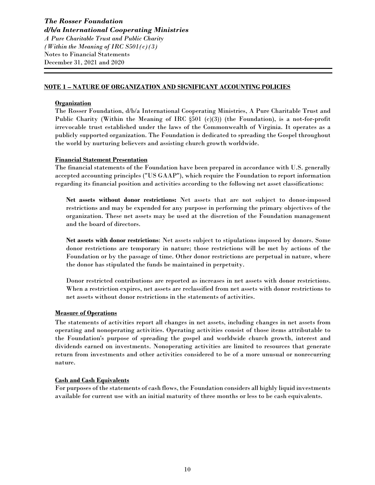#### **NOTE 1 – NATURE OF ORGANIZATION AND SIGNIFICANT ACCOUNTING POLICIES**

#### **Organization**

The Rosser Foundation, d/b/a International Cooperating Ministries, A Pure Charitable Trust and Public Charity (Within the Meaning of IRC §501 (c)(3)) (the Foundation), is a not-for-profit irrevocable trust established under the laws of the Commonwealth of Virginia. It operates as a publicly supported organization. The Foundation is dedicated to spreading the Gospel throughout the world by nurturing believers and assisting church growth worldwide.

#### **Financial Statement Presentation**

The financial statements of the Foundation have been prepared in accordance with U.S. generally accepted accounting principles ("US GAAP"), which require the Foundation to report information regarding its financial position and activities according to the following net asset classifications:

**Net assets without donor restrictions:** Net assets that are not subject to donor-imposed restrictions and may be expended for any purpose in performing the primary objectives of the organization. These net assets may be used at the discretion of the Foundation management and the board of directors.

**Net assets with donor restrictions**: Net assets subject to stipulations imposed by donors. Some donor restrictions are temporary in nature; those restrictions will be met by actions of the Foundation or by the passage of time. Other donor restrictions are perpetual in nature, where the donor has stipulated the funds be maintained in perpetuity.

Donor restricted contributions are reported as increases in net assets with donor restrictions. When a restriction expires, net assets are reclassified from net assets with donor restrictions to net assets without donor restrictions in the statements of activities.

#### **Measure of Operations**

The statements of activities report all changes in net assets, including changes in net assets from operating and nonoperating activities. Operating activities consist of those items attributable to the Foundation's purpose of spreading the gospel and worldwide church growth, interest and dividends earned on investments. Nonoperating activities are limited to resources that generate return from investments and other activities considered to be of a more unusual or nonrecurring nature.

#### **Cash and Cash Equivalents**

For purposes of the statements of cash flows, the Foundation considers all highly liquid investments available for current use with an initial maturity of three months or less to be cash equivalents.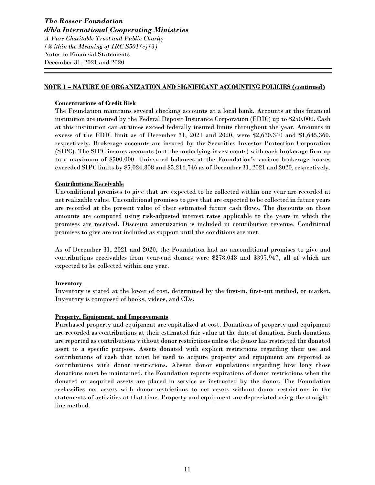#### **NOTE 1 – NATURE OF ORGANIZATION AND SIGNIFICANT ACCOUNTING POLICIES (continued)**

#### **Concentrations of Credit Risk**

The Foundation maintains several checking accounts at a local bank. Accounts at this financial institution are insured by the Federal Deposit Insurance Corporation (FDIC) up to \$250,000. Cash at this institution can at times exceed federally insured limits throughout the year. Amounts in excess of the FDIC limit as of December 31, 2021 and 2020, were \$2,670,340 and \$1,645,360, respectively. Brokerage accounts are insured by the Securities Investor Protection Corporation (SIPC). The SIPC insures accounts (not the underlying investments) with each brokerage firm up to a maximum of \$500,000. Uninsured balances at the Foundation's various brokerage houses exceeded SIPC limits by \$5,024,808 and \$5,216,746 as of December 31, 2021 and 2020, respectively.

#### **Contributions Receivable**

Unconditional promises to give that are expected to be collected within one year are recorded at net realizable value. Unconditional promises to give that are expected to be collected in future years are recorded at the present value of their estimated future cash flows. The discounts on those amounts are computed using risk-adjusted interest rates applicable to the years in which the promises are received. Discount amortization is included in contribution revenue. Conditional promises to give are not included as support until the conditions are met.

As of December 31, 2021 and 2020, the Foundation had no unconditional promises to give and contributions receivables from year-end donors were \$278,048 and \$397,947, all of which are expected to be collected within one year.

#### **Inventory**

Inventory is stated at the lower of cost, determined by the first-in, first-out method, or market. Inventory is composed of books, videos, and CDs.

#### **Property, Equipment, and Improvements**

Purchased property and equipment are capitalized at cost. Donations of property and equipment are recorded as contributions at their estimated fair value at the date of donation. Such donations are reported as contributions without donor restrictions unless the donor has restricted the donated asset to a specific purpose. Assets donated with explicit restrictions regarding their use and contributions of cash that must be used to acquire property and equipment are reported as contributions with donor restrictions. Absent donor stipulations regarding how long those donations must be maintained, the Foundation reports expirations of donor restrictions when the donated or acquired assets are placed in service as instructed by the donor. The Foundation reclassifies net assets with donor restrictions to net assets without donor restrictions in the statements of activities at that time. Property and equipment are depreciated using the straightline method.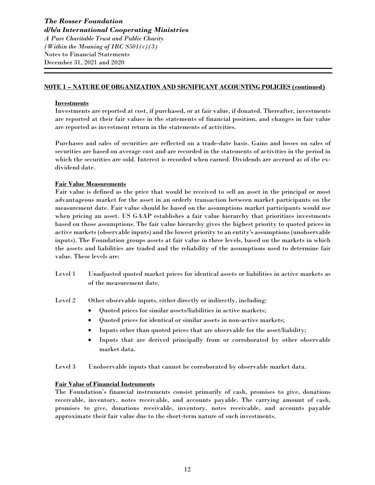#### **NOTE 1 – NATURE OF ORGANIZATION AND SIGNIFICANT ACCOUNTING POLICIES (continued)**

#### **Investments**

Investments are reported at cost, if purchased, or at fair value, if donated. Thereafter, investments are reported at their fair values in the statements of financial position, and changes in fair value are reported as investment return in the statements of activities.

Purchases and sales of securities are reflected on a trade-date basis. Gains and losses on sales of securities are based on average cost and are recorded in the statements of activities in the period in which the securities are sold. Interest is recorded when earned. Dividends are accrued as of the exdividend date.

#### **Fair Value Measurements**

Fair value is defined as the price that would be received to sell an asset in the principal or most advantageous market for the asset in an orderly transaction between market participants on the measurement date. Fair value should be based on the assumptions market participants would use when pricing an asset. US GAAP establishes a fair value hierarchy that prioritizes investments based on those assumptions. The fair value hierarchy gives the highest priority to quoted prices in active markets (observable inputs) and the lowest priority to an entity's assumptions (unobservable inputs). The Foundation groups assets at fair value in three levels, based on the markets in which the assets and liabilities are traded and the reliability of the assumptions used to determine fair value. These levels are:

Level 1 Unadjusted quoted market prices for identical assets or liabilities in active markets as of the measurement date.

Level 2 Other observable inputs, either directly or indirectly, including:

- Quoted prices for similar assets/liabilities in active markets;
- Quoted prices for identical or similar assets in non-active markets;
- Inputs other than quoted prices that are observable for the asset/liability;
- Inputs that are derived principally from or corroborated by other observable market data.

Level 3 Unobservable inputs that cannot be corroborated by observable market data.

#### **Fair Value of Financial Instruments**

The Foundation's financial instruments consist primarily of cash, promises to give, donations receivable, inventory, notes receivable, and accounts payable. The carrying amount of cash, promises to give, donations receivable, inventory, notes receivable, and accounts payable approximate their fair value due to the short-term nature of such investments.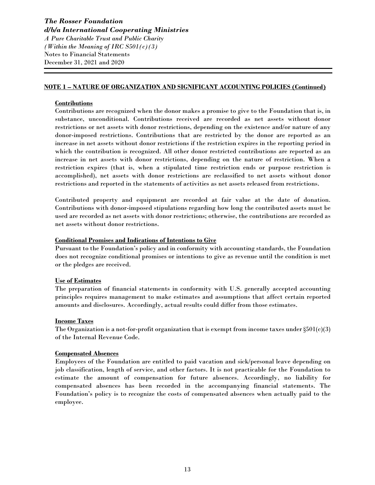#### **NOTE 1 – NATURE OF ORGANIZATION AND SIGNIFICANT ACCOUNTING POLICIES (Continued)**

#### **Contributions**

Contributions are recognized when the donor makes a promise to give to the Foundation that is, in substance, unconditional. Contributions received are recorded as net assets without donor restrictions or net assets with donor restrictions, depending on the existence and/or nature of any donor-imposed restrictions. Contributions that are restricted by the donor are reported as an increase in net assets without donor restrictions if the restriction expires in the reporting period in which the contribution is recognized. All other donor restricted contributions are reported as an increase in net assets with donor restrictions, depending on the nature of restriction. When a restriction expires (that is, when a stipulated time restriction ends or purpose restriction is accomplished), net assets with donor restrictions are reclassified to net assets without donor restrictions and reported in the statements of activities as net assets released from restrictions.

Contributed property and equipment are recorded at fair value at the date of donation. Contributions with donor-imposed stipulations regarding how long the contributed assets must be used are recorded as net assets with donor restrictions; otherwise, the contributions are recorded as net assets without donor restrictions.

#### **Conditional Promises and Indications of Intentions to Give**

Pursuant to the Foundation's policy and in conformity with accounting standards, the Foundation does not recognize conditional promises or intentions to give as revenue until the condition is met or the pledges are received.

#### **Use of Estimates**

The preparation of financial statements in conformity with U.S. generally accepted accounting principles requires management to make estimates and assumptions that affect certain reported amounts and disclosures. Accordingly, actual results could differ from those estimates.

#### **Income Taxes**

The Organization is a not-for-profit organization that is exempt from income taxes under  $\S501(c)(3)$ of the Internal Revenue Code.

#### **Compensated Absences**

Employees of the Foundation are entitled to paid vacation and sick/personal leave depending on job classification, length of service, and other factors. It is not practicable for the Foundation to estimate the amount of compensation for future absences. Accordingly, no liability for compensated absences has been recorded in the accompanying financial statements. The Foundation's policy is to recognize the costs of compensated absences when actually paid to the employee.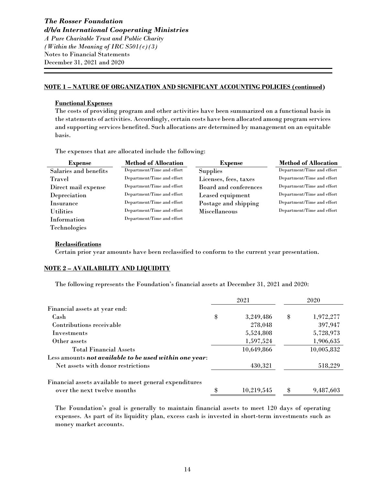#### **NOTE 1 – NATURE OF ORGANIZATION AND SIGNIFICANT ACCOUNTING POLICIES (continued)**

#### **Functional Expenses**

The costs of providing program and other activities have been summarized on a functional basis in the statements of activities. Accordingly, certain costs have been allocated among program services and supporting services benefited. Such allocations are determined by management on an equitable basis.

The expenses that are allocated include the following:

| <b>Expense</b>        | <b>Method of Allocation</b> | <b>Expense</b>        | <b>Method of Allocation</b> |
|-----------------------|-----------------------------|-----------------------|-----------------------------|
| Salaries and benefits | Department/Time and effort  | <b>Supplies</b>       | Department/Time and effort  |
| Travel                | Department/Time and effort  | Licenses, fees, taxes | Department/Time and effort  |
| Direct mail expense   | Department/Time and effort  | Board and conferences | Department/Time and effort  |
| Depreciation          | Department/Time and effort  | Leased equipment      | Department/Time and effort  |
| Insurance             | Department/Time and effort  | Postage and shipping  | Department/Time and effort  |
| <b>Utilities</b>      | Department/Time and effort  | Miscellaneous         | Department/Time and effort  |
| Information           | Department/Time and effort  |                       |                             |
| Technologies          |                             |                       |                             |

#### **Reclassifications**

Certain prior year amounts have been reclassified to conform to the current year presentation.

#### **NOTE 2 – AVAILABILITY AND LIQUIDITY**

The following represents the Foundation's financial assets at December 31, 2021 and 2020:

|                                                         |    | 2021       | 2020            |
|---------------------------------------------------------|----|------------|-----------------|
| Financial assets at year end:                           |    |            |                 |
| Cash                                                    | \$ | 3,249,486  | \$<br>1,972,277 |
| Contributions receivable                                |    | 278,048    | 397,947         |
| <b>Investments</b>                                      |    | 5,524,808  | 5,728,973       |
| Other assets                                            |    | 1,597,524  | 1,906,635       |
| <b>Total Financial Assets</b>                           |    | 10,649,866 | 10,005,832      |
| Less amounts not available to be used within one year:  |    |            |                 |
| Net assets with donor restrictions                      |    | 430,321    | 518,229         |
| Financial assets available to meet general expenditures |    |            |                 |
| over the next twelve months                             | Я  | 10,219,545 | 9,487,603       |

The Foundation's goal is generally to maintain financial assets to meet 120 days of operating expenses. As part of its liquidity plan, excess cash is invested in short-term investments such as money market accounts.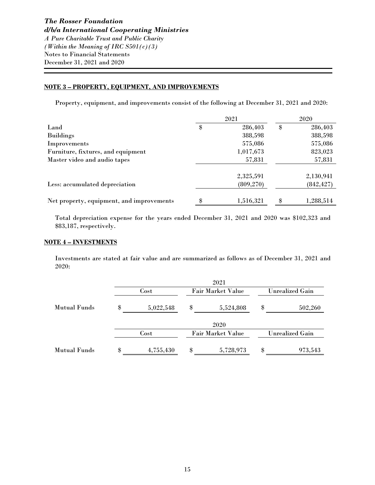#### **NOTE 3 – PROPERTY, EQUIPMENT, AND IMPROVEMENTS**

Property, equipment, and improvements consist of the following at December 31, 2021 and 2020:

|                                           | 2021            | 2020 |            |  |
|-------------------------------------------|-----------------|------|------------|--|
| Land                                      | \$<br>286,403   | \$   | 286,403    |  |
| <b>Buildings</b>                          | 388,598         |      | 388,598    |  |
| Improvements                              | 575,086         |      | 575,086    |  |
| Furniture, fixtures, and equipment        | 1,017,673       |      | 823,023    |  |
| Master video and audio tapes              | 57,831          |      | 57,831     |  |
|                                           | 2,325,591       |      | 2,130,941  |  |
| Less: accumulated depreciation            | (809, 270)      |      | (842, 427) |  |
| Net property, equipment, and improvements | \$<br>1,516,321 | \$   | 1,288,514  |  |

Total depreciation expense for the years ended December 31, 2021 and 2020 was \$102,323 and \$83,187, respectively.

#### **NOTE 4 – INVESTMENTS**

Investments are stated at fair value and are summarized as follows as of December 31, 2021 and 2020:

|                     | 2021            |    |                          |                        |         |  |  |  |  |
|---------------------|-----------------|----|--------------------------|------------------------|---------|--|--|--|--|
|                     | Cost            |    | <b>Fair Market Value</b> | <b>Unrealized Gain</b> |         |  |  |  |  |
| Mutual Funds        | \$<br>5,022,548 | \$ | 5,524,808                | \$                     | 502,260 |  |  |  |  |
|                     |                 |    | 2020                     |                        |         |  |  |  |  |
|                     | Cost            |    | <b>Fair Market Value</b> | <b>Unrealized Gain</b> |         |  |  |  |  |
| <b>Mutual Funds</b> | \$<br>4,755,430 | \$ | 5,728,973                | \$                     | 973,543 |  |  |  |  |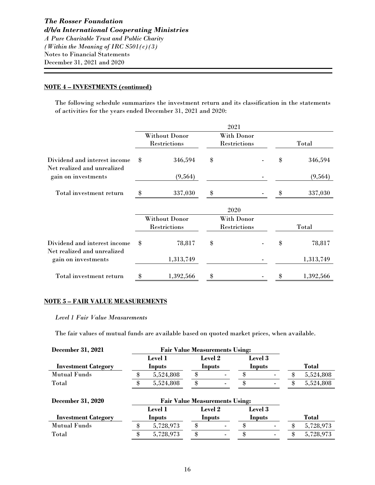#### **NOTE 4 – INVESTMENTS (continued)**

The following schedule summarizes the investment return and its classification in the statements of activities for the years ended December 31, 2021 and 2020:

|                                                             |                                |               | 2021               |                     |    |           |
|-------------------------------------------------------------|--------------------------------|---------------|--------------------|---------------------|----|-----------|
|                                                             |                                | Without Donor |                    | With Donor          |    |           |
|                                                             |                                | Restrictions  |                    | Restrictions        |    | Total     |
| Dividend and interest income<br>Net realized and unrealized | \$                             | 346,594       | \$                 |                     | \$ | 346,594   |
| gain on investments                                         |                                | (9, 564)      |                    |                     |    | (9, 564)  |
| Total investment return                                     | $\textcircled{\scriptsize{*}}$ | 337,030       | \$                 |                     |    | 337,030   |
|                                                             | 2020                           |               |                    |                     |    |           |
|                                                             | <b>Without Donor</b>           |               | <b>With Donor</b>  |                     |    |           |
|                                                             |                                | Restrictions  |                    | <b>Restrictions</b> |    | Total     |
| Dividend and interest income<br>Net realized and unrealized | \$                             | 78,817        | \$                 |                     | \$ | 78,817    |
| gain on investments                                         |                                | 1,313,749     |                    |                     |    | 1,313,749 |
| Total investment return                                     | \$                             | 1,392,566     | $\pmb{\mathbb{S}}$ |                     | \$ | 1,392,566 |

#### **NOTE 5 – FAIR VALUE MEASUREMENTS**

#### *Level 1 Fair Value Measurements*

The fair values of mutual funds are available based on quoted market prices, when available.

| <b>December 31, 2021</b>   |         | <b>Fair Value Measurements Using:</b> |                |                |                |  |               |           |
|----------------------------|---------|---------------------------------------|----------------|----------------|----------------|--|---------------|-----------|
|                            | Level 1 |                                       | <b>Level 2</b> |                | Level 3        |  |               |           |
| <b>Investment Category</b> | Inputs  |                                       | Inputs         |                | Inputs         |  | Total         |           |
| <b>Mutual Funds</b>        |         | 5,524,808                             | \$             |                |                |  | \$            | 5,524,808 |
| Total                      |         | 5,524,808                             | \$             | $\blacksquare$ | 8              |  | \$            | 5,524,808 |
| <b>December 31, 2020</b>   |         | <b>Fair Value Measurements Using:</b> |                |                |                |  |               |           |
|                            |         | Level 1                               | <b>Level 2</b> |                | <b>Level</b> 3 |  |               |           |
| <b>Investment Category</b> | Inputs  |                                       | Inputs         |                | <b>Inputs</b>  |  |               | Total     |
| <b>Mutual Funds</b>        |         | 5,728,973                             | \$             |                |                |  | \$            | 5,728,973 |
| Total                      | \$      | 5,728,973                             | \$             |                | \$             |  | $\mathbf{\$}$ | 5,728,973 |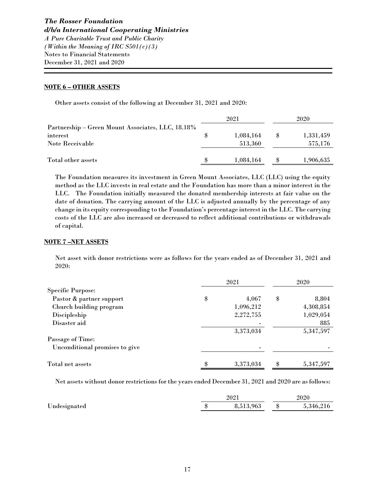#### **NOTE 6 – OTHER ASSETS**

Other assets consist of the following at December 31, 2021 and 2020:

|                                                   |  | 2021      |    | 2020      |  |
|---------------------------------------------------|--|-----------|----|-----------|--|
| Partnership – Green Mount Associates, LLC, 18.18% |  |           |    |           |  |
| interest                                          |  | 1,084,164 | \$ | 1,331,459 |  |
| Note Receivable                                   |  | 513,360   |    | 575,176   |  |
|                                                   |  |           |    |           |  |
| Total other assets                                |  | 1,084,164 |    | 1,906,635 |  |

The Foundation measures its investment in Green Mount Associates, LLC (LLC) using the equity method as the LLC invests in real estate and the Foundation has more than a minor interest in the LLC. The Foundation initially measured the donated membership interests at fair value on the date of donation. The carrying amount of the LLC is adjusted annually by the percentage of any change in its equity corresponding to the Foundation's percentage interest in the LLC. The carrying costs of the LLC are also increased or decreased to reflect additional contributions or withdrawals of capital.

#### **NOTE 7 –NET ASSETS**

Net asset with donor restrictions were as follows for the years ended as of December 31, 2021 and 2020:

|                                | 2021 |           | 2020 |           |
|--------------------------------|------|-----------|------|-----------|
| <b>Specific Purpose:</b>       |      |           |      |           |
| Pastor & partner support       | \$   | 4,067     | \$   | 8,804     |
| Church building program        |      | 1,096,212 |      | 4,308,854 |
| Discipleship                   |      | 2,272,755 |      | 1,029,054 |
| Disaster aid                   |      |           |      | 885       |
|                                |      | 3,373,034 |      | 5,347,597 |
| Passage of Time:               |      |           |      |           |
| Unconditional promises to give |      |           |      |           |
| Total net assets               | \$   | 3,373,034 | \$   | 5,347,597 |

Net assets without donor restrictions for the years ended December 31, 2021 and 2020 are as follows:

|              | 2021 |           | 2020 |           |
|--------------|------|-----------|------|-----------|
| Undesignated |      | 8,513,963 |      | 5.346.216 |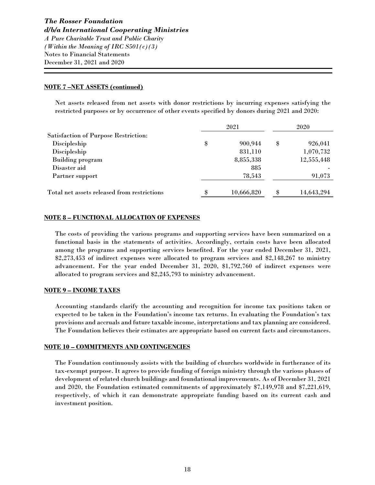#### **NOTE 7 –NET ASSETS (continued)**

Net assets released from net assets with donor restrictions by incurring expenses satisfying the restricted purposes or by occurrence of other events specified by donors during 2021 and 2020:

|                                             | 2021 |            |    | 2020       |  |
|---------------------------------------------|------|------------|----|------------|--|
| <b>Satisfaction of Purpose Restriction:</b> |      |            |    |            |  |
| Discipleship                                | \$   | 900,944    | \$ | 926,041    |  |
| Discipleship                                |      | 831,110    |    | 1,070,732  |  |
| <b>Building program</b>                     |      | 8,855,338  |    | 12,555,448 |  |
| Disaster aid                                |      | 885        |    |            |  |
| Partner support                             |      | 78,543     |    | 91,073     |  |
|                                             |      |            |    |            |  |
| Total net assets released from restrictions | \$   | 10,666,820 | \$ | 14,643,294 |  |

#### **NOTE 8 – FUNCTIONAL ALLOCATION OF EXPENSES**

The costs of providing the various programs and supporting services have been summarized on a functional basis in the statements of activities. Accordingly, certain costs have been allocated among the programs and supporting services benefited. For the year ended December 31, 2021, \$2,273,453 of indirect expenses were allocated to program services and \$2,148,267 to ministry advancement. For the year ended December 31, 2020, \$1,792,760 of indirect expenses were allocated to program services and \$2,245,793 to ministry advancement.

#### **NOTE 9 – INCOME TAXES**

Accounting standards clarify the accounting and recognition for income tax positions taken or expected to be taken in the Foundation's income tax returns. In evaluating the Foundation's tax provisions and accruals and future taxable income, interpretations and tax planning are considered. The Foundation believes their estimates are appropriate based on current facts and circumstances.

#### **NOTE 10 – COMMITMENTS AND CONTINGENCIES**

The Foundation continuously assists with the building of churches worldwide in furtherance of its tax-exempt purpose. It agrees to provide funding of foreign ministry through the various phases of development of related church buildings and foundational improvements. As of December 31, 2021 and 2020, the Foundation estimated commitments of approximately \$7,149,978 and \$7,221,619, respectively, of which it can demonstrate appropriate funding based on its current cash and investment position.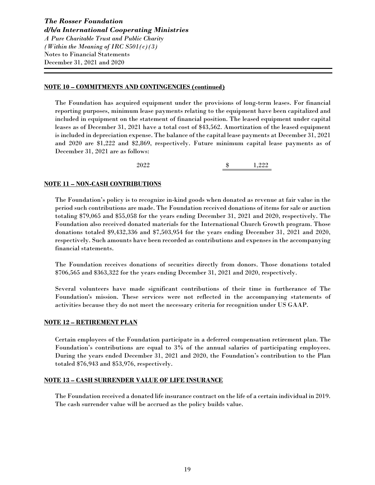#### **NOTE 10 – COMMITMENTS AND CONTINGENCIES (continued)**

The Foundation has acquired equipment under the provisions of long-term leases. For financial reporting purposes, minimum lease payments relating to the equipment have been capitalized and included in equipment on the statement of financial position. The leased equipment under capital leases as of December 31, 2021 have a total cost of \$43,562. Amortization of the leased equipment is included in depreciation expense. The balance of the capital lease payments at December 31, 2021 and 2020 are \$1,222 and \$2,869, respectively. Future minimum capital lease payments as of December 31, 2021 are as follows:

2022 \$ 1,222

#### **NOTE 11 – NON-CASH CONTRIBUTIONS**

The Foundation's policy is to recognize in-kind goods when donated as revenue at fair value in the period such contributions are made. The Foundation received donations of items for sale or auction totaling \$79,065 and \$55,058 for the years ending December 31, 2021 and 2020, respectively. The Foundation also received donated materials for the International Church Growth program. Those donations totaled \$9,432,336 and \$7,503,954 for the years ending December 31, 2021 and 2020, respectively. Such amounts have been recorded as contributions and expenses in the accompanying financial statements.

The Foundation receives donations of securities directly from donors. Those donations totaled \$706,565 and \$363,322 for the years ending December 31, 2021 and 2020, respectively.

Several volunteers have made significant contributions of their time in furtherance of The Foundation's mission. These services were not reflected in the accompanying statements of activities because they do not meet the necessary criteria for recognition under US GAAP.

#### **NOTE 12 – RETIREMENT PLAN**

Certain employees of the Foundation participate in a deferred compensation retirement plan. The Foundation's contributions are equal to 3% of the annual salaries of participating employees. During the years ended December 31, 2021 and 2020, the Foundation's contribution to the Plan totaled \$76,943 and \$53,976, respectively.

#### **NOTE 13 – CASH SURRENDER VALUE OF LIFE INSURANCE**

The Foundation received a donated life insurance contract on the life of a certain individual in 2019. The cash surrender value will be accrued as the policy builds value.